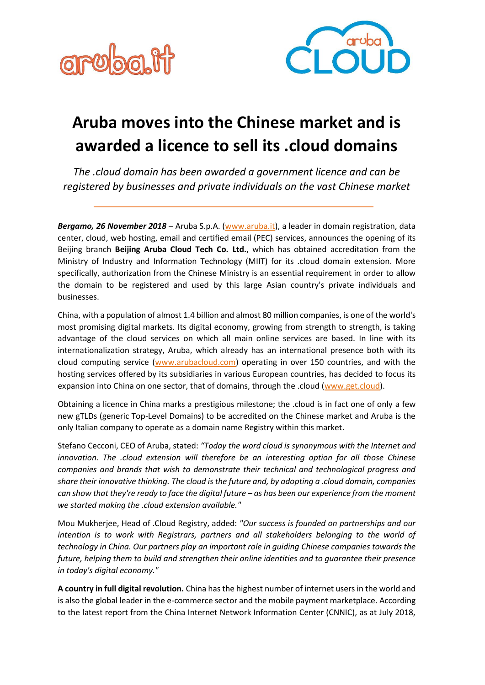



## **Aruba moves into the Chinese market and is awarded a licence to sell its .cloud domains**

*The .cloud domain has been awarded a government licence and can be registered by businesses and private individuals on the vast Chinese market*

*Bergamo, 26 November 2018* – Aruba S.p.A. [\(www.aruba.it\)](https://www.aruba.it/en/home.aspx), a leader in domain registration, data center, cloud, web hosting, email and certified email (PEC) services, announces the opening of its Beijing branch **Beijing Aruba Cloud Tech Co. Ltd.**, which has obtained accreditation from the Ministry of Industry and Information Technology (MIIT) for its .cloud domain extension. More specifically, authorization from the Chinese Ministry is an essential requirement in order to allow the domain to be registered and used by this large Asian country's private individuals and businesses.

China, with a population of almost 1.4 billion and almost 80 million companies, is one of the world's most promising digital markets. Its digital economy, growing from strength to strength, is taking advantage of the cloud services on which all main online services are based. In line with its internationalization strategy, Aruba, which already has an international presence both with its cloud computing service [\(www.arubacloud.com\)](http://www.arubacloud.com/) operating in over 150 countries, and with the hosting services offered by its subsidiaries in various European countries, has decided to focus its expansion into China on one sector, that of domains, through the .cloud [\(www.get.cloud\)](http://www.get.cloud/).

Obtaining a licence in China marks a prestigious milestone; the .cloud is in fact one of only a few new gTLDs (generic Top-Level Domains) to be accredited on the Chinese market and Aruba is the only Italian company to operate as a domain name Registry within this market.

Stefano Cecconi, CEO of Aruba, stated: *"Today the word cloud is synonymous with the Internet and innovation. The .cloud extension will therefore be an interesting option for all those Chinese companies and brands that wish to demonstrate their technical and technological progress and share their innovative thinking. The cloud is the future and, by adopting a .cloud domain, companies can show that they're ready to face the digital future - as has been our experience from the moment we started making the .cloud extension available."*

Mou Mukherjee, Head of .Cloud Registry, added: *"Our success is founded on partnerships and our intention is to work with Registrars, partners and all stakeholders belonging to the world of technology in China. Our partners play an important role in guiding Chinese companies towards the future, helping them to build and strengthen their online identities and to guarantee their presence in today's digital economy."*

**A country in full digital revolution.** China has the highest number of internet users in the world and is also the global leader in the e-commerce sector and the mobile payment marketplace. According to the latest report from the China Internet Network Information Center (CNNIC), as at July 2018,